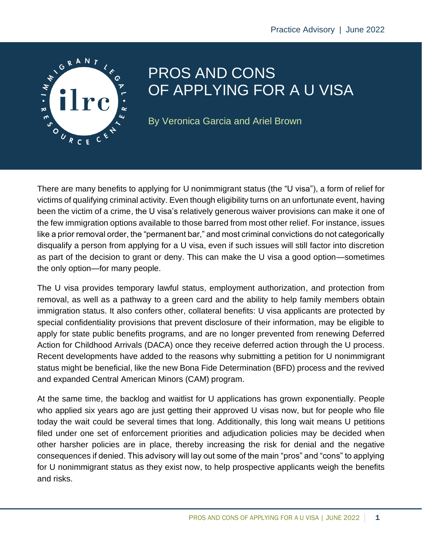

# PROS AND CONS OF APPLYING FOR A U VISA

By Veronica Garcia and Ariel Brown

There are many benefits to applying for U nonimmigrant status (the "U visa"), a form of relief for victims of qualifying criminal activity. Even though eligibility turns on an unfortunate event, having been the victim of a crime, the U visa's relatively generous waiver provisions can make it one of the few immigration options available to those barred from most other relief. For instance, issues like a prior removal order, the "permanent bar," and most criminal convictions do not categorically disqualify a person from applying for a U visa, even if such issues will still factor into discretion as part of the decision to grant or deny. This can make the U visa a good option—sometimes the only option—for many people.

The U visa provides temporary lawful status, employment authorization, and protection from removal, as well as a pathway to a green card and the ability to help family members obtain immigration status. It also confers other, collateral benefits: U visa applicants are protected by special confidentiality provisions that prevent disclosure of their information, may be eligible to apply for state public benefits programs, and are no longer prevented from renewing Deferred Action for Childhood Arrivals (DACA) once they receive deferred action through the U process. Recent developments have added to the reasons why submitting a petition for U nonimmigrant status might be beneficial, like the new Bona Fide Determination (BFD) process and the revived and expanded Central American Minors (CAM) program.

At the same time, the backlog and waitlist for U applications has grown exponentially. People who applied six years ago are just getting their approved U visas now, but for people who file today the wait could be several times that long. Additionally, this long wait means U petitions filed under one set of enforcement priorities and adjudication policies may be decided when other harsher policies are in place, thereby increasing the risk for denial and the negative consequences if denied. This advisory will lay out some of the main "pros" and "cons" to applying for U nonimmigrant status as they exist now, to help prospective applicants weigh the benefits and risks.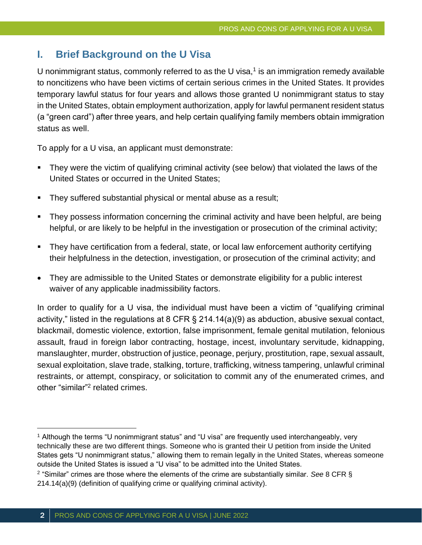## **I. Brief Background on the U Visa**

U nonimmigrant status, commonly referred to as the U visa, $<sup>1</sup>$  is an immigration remedy available</sup> to noncitizens who have been victims of certain serious crimes in the United States. It provides temporary lawful status for four years and allows those granted U nonimmigrant status to stay in the United States, obtain employment authorization, apply for lawful permanent resident status (a "green card") after three years, and help certain qualifying family members obtain immigration status as well.

To apply for a U visa, an applicant must demonstrate:

- They were the victim of qualifying criminal activity (see below) that violated the laws of the United States or occurred in the United States;
- **E** They suffered substantial physical or mental abuse as a result;
- They possess information concerning the criminal activity and have been helpful, are being helpful, or are likely to be helpful in the investigation or prosecution of the criminal activity;
- They have certification from a federal, state, or local law enforcement authority certifying their helpfulness in the detection, investigation, or prosecution of the criminal activity; and
- They are admissible to the United States or demonstrate eligibility for a public interest waiver of any applicable inadmissibility factors.

In order to qualify for a U visa, the individual must have been a victim of "qualifying criminal activity," listed in the regulations at 8 CFR § 214.14(a)(9) as abduction, abusive sexual contact, blackmail, domestic violence, extortion, false imprisonment, female genital mutilation, felonious assault, fraud in foreign labor contracting, hostage, incest, involuntary servitude, kidnapping, manslaughter, murder, obstruction of justice, peonage, perjury, prostitution, rape, sexual assault, sexual exploitation, slave trade, stalking, torture, trafficking, witness tampering, unlawful criminal restraints, or attempt, conspiracy, or solicitation to commit any of the enumerated crimes, and other "similar"<sup>2</sup> related crimes.

<sup>1</sup> Although the terms "U nonimmigrant status" and "U visa" are frequently used interchangeably, very technically these are two different things. Someone who is granted their U petition from inside the United States gets "U nonimmigrant status," allowing them to remain legally in the United States, whereas someone outside the United States is issued a "U visa" to be admitted into the United States.

<sup>2</sup> "Similar" crimes are those where the elements of the crime are substantially similar. *See* 8 CFR § 214.14(a)(9) (definition of qualifying crime or qualifying criminal activity).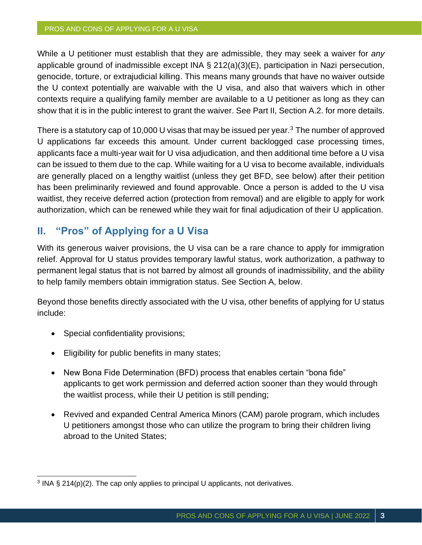While a U petitioner must establish that they are admissible, they may seek a waiver for *any* applicable ground of inadmissible except INA § 212(a)(3)(E), participation in Nazi persecution, genocide, torture, or extrajudicial killing. This means many grounds that have no waiver outside the U context potentially are waivable with the U visa, and also that waivers which in other contexts require a qualifying family member are available to a U petitioner as long as they can show that it is in the public interest to grant the waiver. See Part II, Section A.2. for more details.

There is a statutory cap of 10,000 U visas that may be issued per year.<sup>3</sup> The number of approved U applications far exceeds this amount. Under current backlogged case processing times, applicants face a multi-year wait for U visa adjudication, and then additional time before a U visa can be issued to them due to the cap. While waiting for a U visa to become available, individuals are generally placed on a lengthy waitlist (unless they get BFD, see below) after their petition has been preliminarily reviewed and found approvable. Once a person is added to the U visa waitlist, they receive deferred action (protection from removal) and are eligible to apply for work authorization, which can be renewed while they wait for final adjudication of their U application.

## **II. "Pros" of Applying for a U Visa**

With its generous waiver provisions, the U visa can be a rare chance to apply for immigration relief. Approval for U status provides temporary lawful status, work authorization, a pathway to permanent legal status that is not barred by almost all grounds of inadmissibility, and the ability to help family members obtain immigration status. See Section A, below.

Beyond those benefits directly associated with the U visa, other benefits of applying for U status include:

- Special confidentiality provisions;
- Eligibility for public benefits in many states;
- New Bona Fide Determination (BFD) process that enables certain "bona fide" applicants to get work permission and deferred action sooner than they would through the waitlist process, while their U petition is still pending;
- Revived and expanded Central America Minors (CAM) parole program, which includes U petitioners amongst those who can utilize the program to bring their children living abroad to the United States;

<sup>&</sup>lt;sup>3</sup> INA § 214(p)(2). The cap only applies to principal U applicants, not derivatives.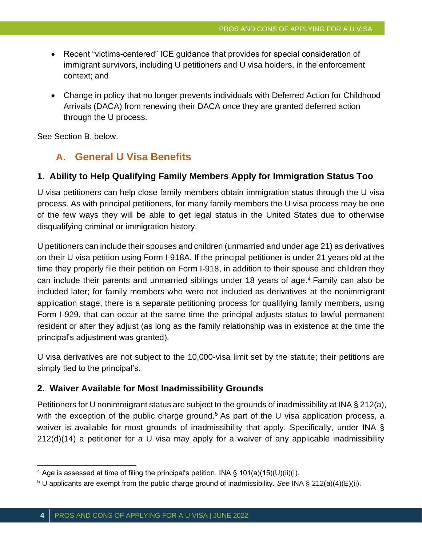- Recent "victims-centered" ICE guidance that provides for special consideration of immigrant survivors, including U petitioners and U visa holders, in the enforcement context; and
- Change in policy that no longer prevents individuals with Deferred Action for Childhood Arrivals (DACA) from renewing their DACA once they are granted deferred action through the U process.

See Section B, below.

## **A. General U Visa Benefits**

#### **1. Ability to Help Qualifying Family Members Apply for Immigration Status Too**

U visa petitioners can help close family members obtain immigration status through the U visa process. As with principal petitioners, for many family members the U visa process may be one of the few ways they will be able to get legal status in the United States due to otherwise disqualifying criminal or immigration history.

U petitioners can include their spouses and children (unmarried and under age 21) as derivatives on their U visa petition using Form I-918A. If the principal petitioner is under 21 years old at the time they properly file their petition on Form I-918, in addition to their spouse and children they can include their parents and unmarried siblings under 18 years of age.<sup>4</sup> Family can also be included later; for family members who were not included as derivatives at the nonimmigrant application stage, there is a separate petitioning process for qualifying family members, using Form I-929, that can occur at the same time the principal adjusts status to lawful permanent resident or after they adjust (as long as the family relationship was in existence at the time the principal's adjustment was granted).

U visa derivatives are not subject to the 10,000-visa limit set by the statute; their petitions are simply tied to the principal's.

#### **2. Waiver Available for Most Inadmissibility Grounds**

Petitioners for U nonimmigrant status are subject to the grounds of inadmissibility at INA § 212(a), with the exception of the public charge ground.<sup>5</sup> As part of the U visa application process, a waiver is available for most grounds of inadmissibility that apply. Specifically, under INA § 212(d)(14) a petitioner for a U visa may apply for a waiver of any applicable inadmissibility

<sup>&</sup>lt;sup>4</sup> Age is assessed at time of filing the principal's petition. INA § 101(a)(15)(U)(ii)(I).

<sup>5</sup> U applicants are exempt from the public charge ground of inadmissibility. *See* INA § 212(a)(4)(E)(ii).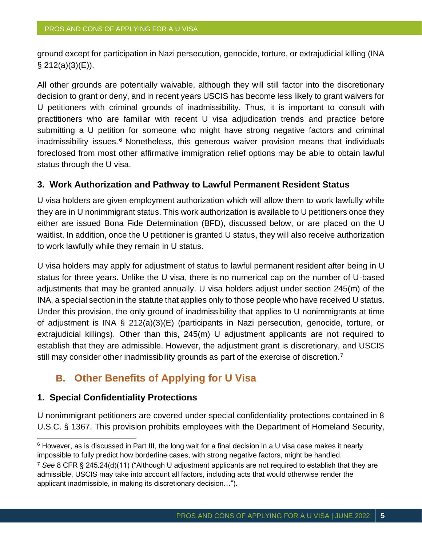ground except for participation in Nazi persecution, genocide, torture, or extrajudicial killing (INA  $\S$  212(a)(3)(E)).

All other grounds are potentially waivable, although they will still factor into the discretionary decision to grant or deny, and in recent years USCIS has become less likely to grant waivers for U petitioners with criminal grounds of inadmissibility. Thus, it is important to consult with practitioners who are familiar with recent U visa adjudication trends and practice before submitting a U petition for someone who might have strong negative factors and criminal  $inadmissibility$  issues. $6$  Nonetheless, this generous waiver provision means that individuals foreclosed from most other affirmative immigration relief options may be able to obtain lawful status through the U visa.

#### **3. Work Authorization and Pathway to Lawful Permanent Resident Status**

U visa holders are given employment authorization which will allow them to work lawfully while they are in U nonimmigrant status. This work authorization is available to U petitioners once they either are issued Bona Fide Determination (BFD), discussed below, or are placed on the U waitlist. In addition, once the U petitioner is granted U status, they will also receive authorization to work lawfully while they remain in U status.

U visa holders may apply for adjustment of status to lawful permanent resident after being in U status for three years. Unlike the U visa, there is no numerical cap on the number of U-based adjustments that may be granted annually. U visa holders adjust under section 245(m) of the INA, a special section in the statute that applies only to those people who have received U status. Under this provision, the only ground of inadmissibility that applies to U nonimmigrants at time of adjustment is INA § 212(a)(3)(E) (participants in Nazi persecution, genocide, torture, or extrajudicial killings). Other than this, 245(m) U adjustment applicants are not required to establish that they are admissible. However, the adjustment grant is discretionary, and USCIS still may consider other inadmissibility grounds as part of the exercise of discretion.<sup>7</sup>

## **B. Other Benefits of Applying for U Visa**

#### **1. Special Confidentiality Protections**

U nonimmigrant petitioners are covered under special confidentiality protections contained in 8 U.S.C. § 1367. This provision prohibits employees with the Department of Homeland Security,

<sup>6</sup> However, as is discussed in Part III, the long wait for a final decision in a U visa case makes it nearly impossible to fully predict how borderline cases, with strong negative factors, might be handled.

<sup>7</sup> *See* 8 CFR § 245.24(d)(11) ("Although U adjustment applicants are not required to establish that they are admissible, USCIS may take into account all factors, including acts that would otherwise render the applicant inadmissible, in making its discretionary decision…").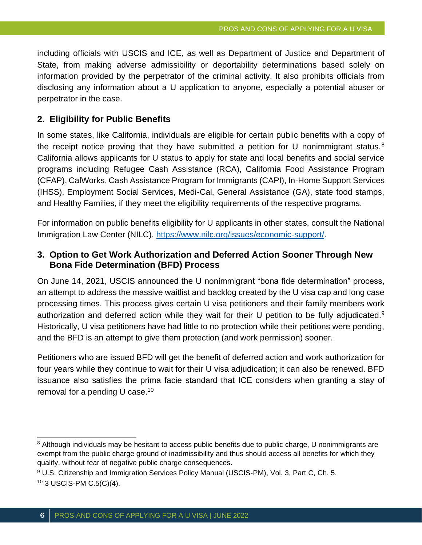including officials with USCIS and ICE, as well as Department of Justice and Department of State, from making adverse admissibility or deportability determinations based solely on information provided by the perpetrator of the criminal activity. It also prohibits officials from disclosing any information about a U application to anyone, especially a potential abuser or perpetrator in the case.

#### **2. Eligibility for Public Benefits**

In some states, like California, individuals are eligible for certain public benefits with a copy of the receipt notice proving that they have submitted a petition for U nonimmigrant status.<sup>8</sup> California allows applicants for U status to apply for state and local benefits and social service programs including Refugee Cash Assistance (RCA), California Food Assistance Program (CFAP), CalWorks, Cash Assistance Program for Immigrants (CAPI), In-Home Support Services (IHSS), Employment Social Services, Medi-Cal, General Assistance (GA), state food stamps, and Healthy Families, if they meet the eligibility requirements of the respective programs.

For information on public benefits eligibility for U applicants in other states, consult the National Immigration Law Center (NILC), [https://www.nilc.org/issues/economic-support/.](https://www.nilc.org/issues/economic-support/)

#### **3. Option to Get Work Authorization and Deferred Action Sooner Through New Bona Fide Determination (BFD) Process**

On June 14, 2021, USCIS announced the U nonimmigrant "bona fide determination" process, an attempt to address the massive waitlist and backlog created by the U visa cap and long case processing times. This process gives certain U visa petitioners and their family members work authorization and deferred action while they wait for their U petition to be fully adjudicated.<sup>9</sup> Historically, U visa petitioners have had little to no protection while their petitions were pending, and the BFD is an attempt to give them protection (and work permission) sooner.

Petitioners who are issued BFD will get the benefit of deferred action and work authorization for four years while they continue to wait for their U visa adjudication; it can also be renewed. BFD issuance also satisfies the prima facie standard that ICE considers when granting a stay of removal for a pending  $U$  case.<sup>10</sup>

<sup>&</sup>lt;sup>8</sup> Although individuals may be hesitant to access public benefits due to public charge, U nonimmigrants are exempt from the public charge ground of inadmissibility and thus should access all benefits for which they qualify, without fear of negative public charge consequences.

<sup>&</sup>lt;sup>9</sup> U.S. Citizenship and Immigration Services Policy Manual (USCIS-PM), Vol. 3, Part C, Ch. 5. <sup>10</sup> 3 USCIS-PM C.5(C)(4).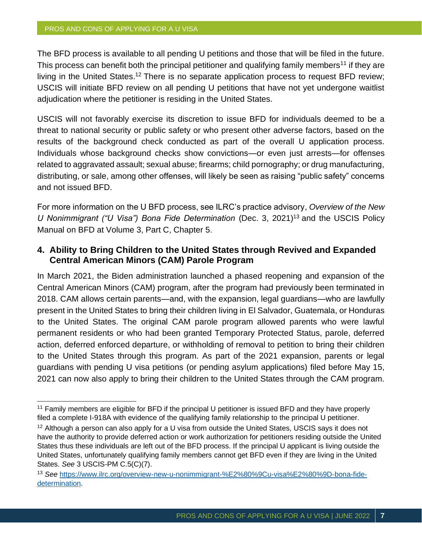The BFD process is available to all pending U petitions and those that will be filed in the future. This process can benefit both the principal petitioner and qualifying family members<sup>11</sup> if they are living in the United States.<sup>12</sup> There is no separate application process to request BFD review; USCIS will initiate BFD review on all pending U petitions that have not yet undergone waitlist adjudication where the petitioner is residing in the United States.

USCIS will not favorably exercise its discretion to issue BFD for individuals deemed to be a threat to national security or public safety or who present other adverse factors, based on the results of the background check conducted as part of the overall U application process. Individuals whose background checks show convictions—or even just arrests—for offenses related to aggravated assault; sexual abuse; firearms; child pornography; or drug manufacturing, distributing, or sale, among other offenses, will likely be seen as raising "public safety" concerns and not issued BFD.

For more information on the U BFD process, see ILRC's practice advisory, *Overview of the New U* Nonimmigrant ("U Visa") Bona Fide Determination (Dec. 3, 2021)<sup>13</sup> and the USCIS Policy Manual on BFD at Volume 3, Part C, Chapter 5.

#### **4. Ability to Bring Children to the United States through Revived and Expanded Central American Minors (CAM) Parole Program**

In March 2021, the Biden administration launched a phased reopening and expansion of the Central American Minors (CAM) program, after the program had previously been terminated in 2018. CAM allows certain parents—and, with the expansion, legal guardians—who are lawfully present in the United States to bring their children living in El Salvador, Guatemala, or Honduras to the United States. The original CAM parole program allowed parents who were lawful permanent residents or who had been granted Temporary Protected Status, parole, deferred action, deferred enforced departure, or withholding of removal to petition to bring their children to the United States through this program. As part of the 2021 expansion, parents or legal guardians with pending U visa petitions (or pending asylum applications) filed before May 15, 2021 can now also apply to bring their children to the United States through the CAM program.

<sup>&</sup>lt;sup>11</sup> Family members are eligible for BFD if the principal U petitioner is issued BFD and they have properly filed a complete I-918A with evidence of the qualifying family relationship to the principal U petitioner.

<sup>&</sup>lt;sup>12</sup> Although a person can also apply for a U visa from outside the United States, USCIS says it does not have the authority to provide deferred action or work authorization for petitioners residing outside the United States thus these individuals are left out of the BFD process. If the principal U applicant is living outside the United States, unfortunately qualifying family members cannot get BFD even if they are living in the United States. *See* 3 USCIS-PM C.5(C)(7).

<sup>13</sup> *See* [https://www.ilrc.org/overview-new-u-nonimmigrant-%E2%80%9Cu-visa%E2%80%9D-bona-fide](https://www.ilrc.org/overview-new-u-nonimmigrant-%E2%80%9Cu-visa%E2%80%9D-bona-fide-determination)[determination.](https://www.ilrc.org/overview-new-u-nonimmigrant-%E2%80%9Cu-visa%E2%80%9D-bona-fide-determination)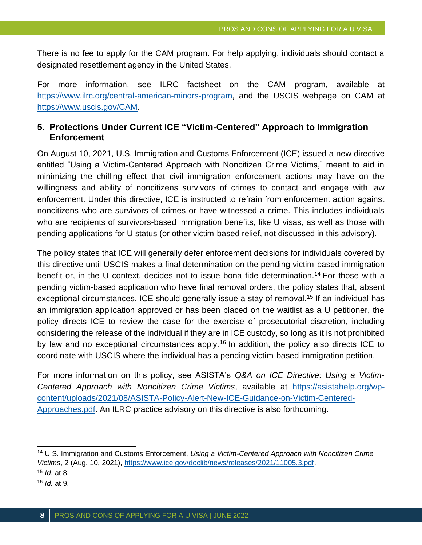There is no fee to apply for the CAM program. For help applying, individuals should contact a designated resettlement agency in the United States.

For more information, see ILRC factsheet on the CAM program, available at [https://www.ilrc.org/central-american-minors-program,](https://www.ilrc.org/central-american-minors-program) and the USCIS webpage on CAM at [https://www.uscis.gov/CAM.](https://www.uscis.gov/CAM)

### **5. Protections Under Current ICE "Victim-Centered" Approach to Immigration Enforcement**

On August 10, 2021, U.S. Immigration and Customs Enforcement (ICE) issued a new directive entitled "Using a Victim-Centered Approach with Noncitizen Crime Victims," meant to aid in minimizing the chilling effect that civil immigration enforcement actions may have on the willingness and ability of noncitizens survivors of crimes to contact and engage with law enforcement. Under this directive, ICE is instructed to refrain from enforcement action against noncitizens who are survivors of crimes or have witnessed a crime. This includes individuals who are recipients of survivors-based immigration benefits, like U visas, as well as those with pending applications for U status (or other victim-based relief, not discussed in this advisory).

The policy states that ICE will generally defer enforcement decisions for individuals covered by this directive until USCIS makes a final determination on the pending victim-based immigration benefit or, in the U context, decides not to issue bona fide determination.<sup>14</sup> For those with a pending victim-based application who have final removal orders, the policy states that, absent exceptional circumstances, ICE should generally issue a stay of removal.<sup>15</sup> If an individual has an immigration application approved or has been placed on the waitlist as a U petitioner, the policy directs ICE to review the case for the exercise of prosecutorial discretion, including considering the release of the individual if they are in ICE custody, so long as it is not prohibited by law and no exceptional circumstances apply.<sup>16</sup> In addition, the policy also directs ICE to coordinate with USCIS where the individual has a pending victim-based immigration petition.

For more information on this policy, see ASISTA's *Q&A on ICE Directive: Using a Victim-Centered Approach with Noncitizen Crime Victims*, available at [https://asistahelp.org/wp](https://asistahelp.org/wp-content/uploads/2021/08/ASISTA-Policy-Alert-New-ICE-Guidance-on-Victim-Centered-Approaches.pdf)[content/uploads/2021/08/ASISTA-Policy-Alert-New-ICE-Guidance-on-Victim-Centered-](https://asistahelp.org/wp-content/uploads/2021/08/ASISTA-Policy-Alert-New-ICE-Guidance-on-Victim-Centered-Approaches.pdf)[Approaches.pdf.](https://asistahelp.org/wp-content/uploads/2021/08/ASISTA-Policy-Alert-New-ICE-Guidance-on-Victim-Centered-Approaches.pdf) An ILRC practice advisory on this directive is also forthcoming.

<sup>14</sup> U.S. Immigration and Customs Enforcement, *Using a Victim-Centered Approach with Noncitizen Crime Victims*, 2 (Aug. 10, 2021), [https://www.ice.gov/doclib/news/releases/2021/11005.3.pdf.](https://www.ice.gov/doclib/news/releases/2021/11005.3.pdf)

<sup>15</sup> *Id*. at 8.

<sup>16</sup> *Id.* at 9.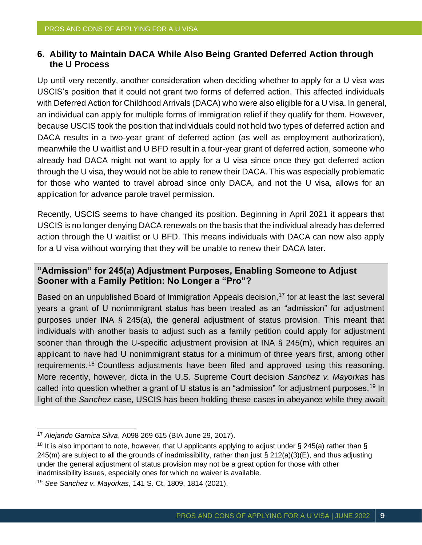#### **6. Ability to Maintain DACA While Also Being Granted Deferred Action through the U Process**

Up until very recently, another consideration when deciding whether to apply for a U visa was USCIS's position that it could not grant two forms of deferred action. This affected individuals with Deferred Action for Childhood Arrivals (DACA) who were also eligible for a U visa. In general, an individual can apply for multiple forms of immigration relief if they qualify for them. However, because USCIS took the position that individuals could not hold two types of deferred action and DACA results in a two-year grant of deferred action (as well as employment authorization), meanwhile the U waitlist and U BFD result in a four-year grant of deferred action, someone who already had DACA might not want to apply for a U visa since once they got deferred action through the U visa, they would not be able to renew their DACA. This was especially problematic for those who wanted to travel abroad since only DACA, and not the U visa, allows for an application for advance parole travel permission.

Recently, USCIS seems to have changed its position. Beginning in April 2021 it appears that USCIS is no longer denying DACA renewals on the basis that the individual already has deferred action through the U waitlist or U BFD. This means individuals with DACA can now also apply for a U visa without worrying that they will be unable to renew their DACA later.

#### **"Admission" for 245(a) Adjustment Purposes, Enabling Someone to Adjust Sooner with a Family Petition: No Longer a "Pro"?**

Based on an unpublished Board of Immigration Appeals decision,<sup>17</sup> for at least the last several years a grant of U nonimmigrant status has been treated as an "admission" for adjustment purposes under INA § 245(a), the general adjustment of status provision. This meant that individuals with another basis to adjust such as a family petition could apply for adjustment sooner than through the U-specific adjustment provision at INA § 245(m), which requires an applicant to have had U nonimmigrant status for a minimum of three years first, among other requirements.<sup>18</sup> Countless adjustments have been filed and approved using this reasoning. More recently, however, dicta in the U.S. Supreme Court decision *Sanchez v. Mayorkas* has called into question whether a grant of U status is an "admission" for adjustment purposes.<sup>19</sup> In light of the *Sanchez* case, USCIS has been holding these cases in abeyance while they await

<sup>17</sup> *Alejando Garnica Silva*, A098 269 615 (BIA June 29, 2017).

<sup>&</sup>lt;sup>18</sup> It is also important to note, however, that U applicants applying to adjust under § 245(a) rather than § 245(m) are subject to all the grounds of inadmissibility, rather than just § 212(a)(3)(E), and thus adjusting under the general adjustment of status provision may not be a great option for those with other inadmissibility issues, especially ones for which no waiver is available.

<sup>19</sup> *See Sanchez v. Mayorkas*, 141 S. Ct. 1809, 1814 (2021).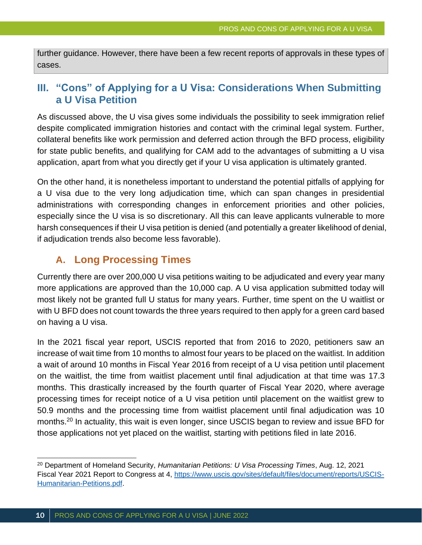further guidance. However, there have been a few recent reports of approvals in these types of cases.

## **III. "Cons" of Applying for a U Visa: Considerations When Submitting a U Visa Petition**

As discussed above, the U visa gives some individuals the possibility to seek immigration relief despite complicated immigration histories and contact with the criminal legal system. Further, collateral benefits like work permission and deferred action through the BFD process, eligibility for state public benefits, and qualifying for CAM add to the advantages of submitting a U visa application, apart from what you directly get if your U visa application is ultimately granted.

On the other hand, it is nonetheless important to understand the potential pitfalls of applying for a U visa due to the very long adjudication time, which can span changes in presidential administrations with corresponding changes in enforcement priorities and other policies, especially since the U visa is so discretionary. All this can leave applicants vulnerable to more harsh consequences if their U visa petition is denied (and potentially a greater likelihood of denial, if adjudication trends also become less favorable).

## **A. Long Processing Times**

Currently there are over 200,000 U visa petitions waiting to be adjudicated and every year many more applications are approved than the 10,000 cap. A U visa application submitted today will most likely not be granted full U status for many years. Further, time spent on the U waitlist or with U BFD does not count towards the three years required to then apply for a green card based on having a U visa.

In the 2021 fiscal year report, USCIS reported that from 2016 to 2020, petitioners saw an increase of wait time from 10 months to almost four years to be placed on the waitlist. In addition a wait of around 10 months in Fiscal Year 2016 from receipt of a U visa petition until placement on the waitlist, the time from waitlist placement until final adjudication at that time was 17.3 months. This drastically increased by the fourth quarter of Fiscal Year 2020, where average processing times for receipt notice of a U visa petition until placement on the waitlist grew to 50.9 months and the processing time from waitlist placement until final adjudication was 10 months.<sup>20</sup> In actuality, this wait is even longer, since USCIS began to review and issue BFD for those applications not yet placed on the waitlist, starting with petitions filed in late 2016.

<sup>20</sup> Department of Homeland Security, *Humanitarian Petitions: U Visa Processing Times*, Aug. 12, 2021 Fiscal Year 2021 Report to Congress at 4, [https://www.uscis.gov/sites/default/files/document/reports/USCIS-](https://www.uscis.gov/sites/default/files/document/reports/USCIS-Humanitarian-Petitions.pdf)[Humanitarian-Petitions.pdf.](https://www.uscis.gov/sites/default/files/document/reports/USCIS-Humanitarian-Petitions.pdf)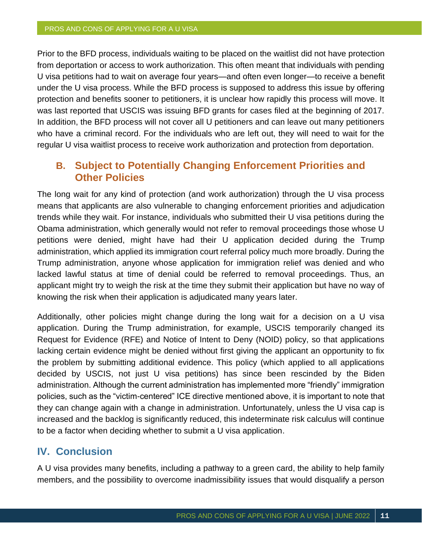Prior to the BFD process, individuals waiting to be placed on the waitlist did not have protection from deportation or access to work authorization. This often meant that individuals with pending U visa petitions had to wait on average four years—and often even longer—to receive a benefit under the U visa process. While the BFD process is supposed to address this issue by offering protection and benefits sooner to petitioners, it is unclear how rapidly this process will move. It was last reported that USCIS was issuing BFD grants for cases filed at the beginning of 2017. In addition, the BFD process will not cover all U petitioners and can leave out many petitioners who have a criminal record. For the individuals who are left out, they will need to wait for the regular U visa waitlist process to receive work authorization and protection from deportation.

## **B. Subject to Potentially Changing Enforcement Priorities and Other Policies**

The long wait for any kind of protection (and work authorization) through the U visa process means that applicants are also vulnerable to changing enforcement priorities and adjudication trends while they wait. For instance, individuals who submitted their U visa petitions during the Obama administration, which generally would not refer to removal proceedings those whose U petitions were denied, might have had their U application decided during the Trump administration, which applied its immigration court referral policy much more broadly. During the Trump administration, anyone whose application for immigration relief was denied and who lacked lawful status at time of denial could be referred to removal proceedings. Thus, an applicant might try to weigh the risk at the time they submit their application but have no way of knowing the risk when their application is adjudicated many years later.

Additionally, other policies might change during the long wait for a decision on a U visa application. During the Trump administration, for example, USCIS temporarily changed its Request for Evidence (RFE) and Notice of Intent to Deny (NOID) policy, so that applications lacking certain evidence might be denied without first giving the applicant an opportunity to fix the problem by submitting additional evidence. This policy (which applied to all applications decided by USCIS, not just U visa petitions) has since been rescinded by the Biden administration. Although the current administration has implemented more "friendly" immigration policies, such as the "victim-centered" ICE directive mentioned above, it is important to note that they can change again with a change in administration. Unfortunately, unless the U visa cap is increased and the backlog is significantly reduced, this indeterminate risk calculus will continue to be a factor when deciding whether to submit a U visa application.

## **IV. Conclusion**

A U visa provides many benefits, including a pathway to a green card, the ability to help family members, and the possibility to overcome inadmissibility issues that would disqualify a person